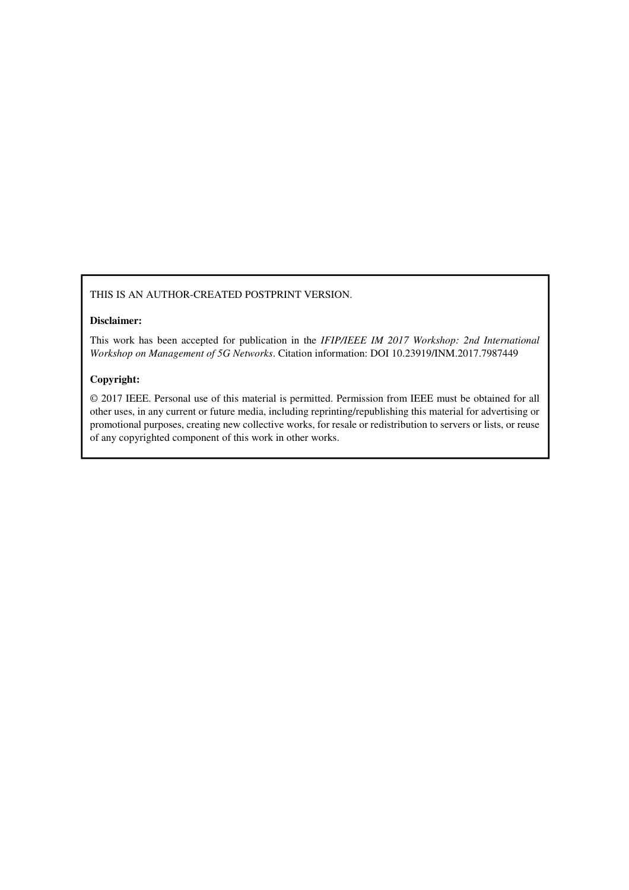## THIS IS AN AUTHOR-CREATED POSTPRINT VERSION.

## **Disclaimer:**

This work has been accepted for publication in the *IFIP/IEEE IM 2017 Workshop: 2nd International Workshop on Management of 5G Networks*. Citation information: DOI 10.23919/INM.2017.7987449

## **Copyright:**

© 2017 IEEE. Personal use of this material is permitted. Permission from IEEE must be obtained for all other uses, in any current or future media, including reprinting/republishing this material for advertising or promotional purposes, creating new collective works, for resale or redistribution to servers or lists, or reuse of any copyrighted component of this work in other works.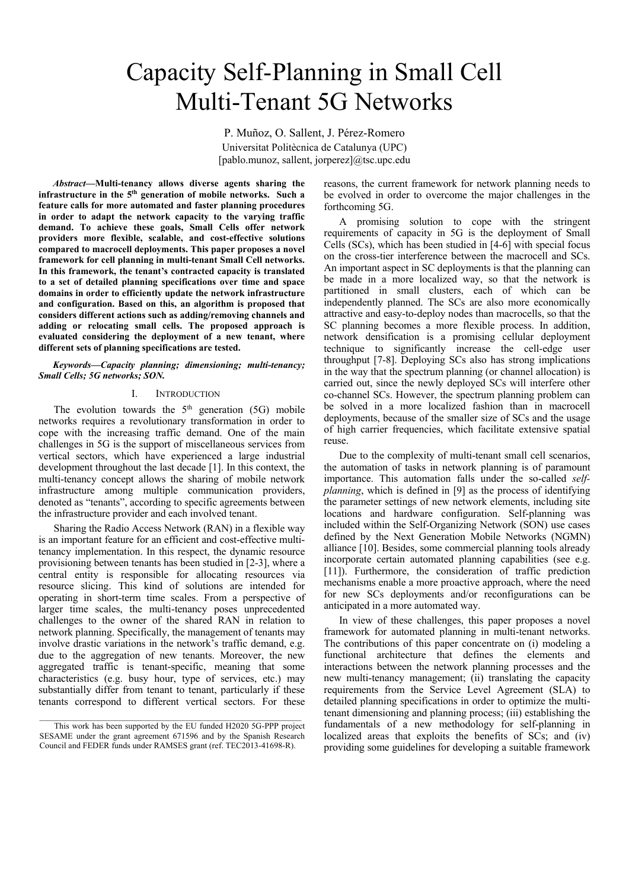# Capacity Self-Planning in Small Cell Multi-Tenant 5G Networks

P. Muñoz, O. Sallent, J. Pérez-Romero Universitat Politècnica de Catalunya (UPC) [pablo.munoz, sallent, jorperez]@tsc.upc.edu

*Abstract***—Multi-tenancy allows diverse agents sharing the infrastructure in the 5th generation of mobile networks. Such a feature calls for more automated and faster planning procedures in order to adapt the network capacity to the varying traffic demand. To achieve these goals, Small Cells offer network providers more flexible, scalable, and cost-effective solutions compared to macrocell deployments. This paper proposes a novel framework for cell planning in multi-tenant Small Cell networks. In this framework, the tenant's contracted capacity is translated to a set of detailed planning specifications over time and space domains in order to efficiently update the network infrastructure and configuration. Based on this, an algorithm is proposed that considers different actions such as adding/removing channels and adding or relocating small cells. The proposed approach is evaluated considering the deployment of a new tenant, where different sets of planning specifications are tested.** 

#### *Keywords—Capacity planning; dimensioning; multi-tenancy; Small Cells; 5G networks; SON.*

#### I. INTRODUCTION

The evolution towards the  $5<sup>th</sup>$  generation (5G) mobile networks requires a revolutionary transformation in order to cope with the increasing traffic demand. One of the main challenges in 5G is the support of miscellaneous services from vertical sectors, which have experienced a large industrial development throughout the last decade [1]. In this context, the multi-tenancy concept allows the sharing of mobile network infrastructure among multiple communication providers, denoted as "tenants", according to specific agreements between the infrastructure provider and each involved tenant.

Sharing the Radio Access Network (RAN) in a flexible way is an important feature for an efficient and cost-effective multitenancy implementation. In this respect, the dynamic resource provisioning between tenants has been studied in [2-3], where a central entity is responsible for allocating resources via resource slicing. This kind of solutions are intended for operating in short-term time scales. From a perspective of larger time scales, the multi-tenancy poses unprecedented challenges to the owner of the shared RAN in relation to network planning. Specifically, the management of tenants may involve drastic variations in the network's traffic demand, e.g. due to the aggregation of new tenants. Moreover, the new aggregated traffic is tenant-specific, meaning that some characteristics (e.g. busy hour, type of services, etc.) may substantially differ from tenant to tenant, particularly if these tenants correspond to different vertical sectors. For these

reasons, the current framework for network planning needs to be evolved in order to overcome the major challenges in the forthcoming 5G.

A promising solution to cope with the stringent requirements of capacity in 5G is the deployment of Small Cells (SCs), which has been studied in [4-6] with special focus on the cross-tier interference between the macrocell and SCs. An important aspect in SC deployments is that the planning can be made in a more localized way, so that the network is partitioned in small clusters, each of which can be independently planned. The SCs are also more economically attractive and easy-to-deploy nodes than macrocells, so that the SC planning becomes a more flexible process. In addition, network densification is a promising cellular deployment technique to significantly increase the cell-edge user throughput [7-8]. Deploying SCs also has strong implications in the way that the spectrum planning (or channel allocation) is carried out, since the newly deployed SCs will interfere other co-channel SCs. However, the spectrum planning problem can be solved in a more localized fashion than in macrocell deployments, because of the smaller size of SCs and the usage of high carrier frequencies, which facilitate extensive spatial reuse.

 Due to the complexity of multi-tenant small cell scenarios, the automation of tasks in network planning is of paramount importance. This automation falls under the so-called *selfplanning*, which is defined in [9] as the process of identifying the parameter settings of new network elements, including site locations and hardware configuration. Self-planning was included within the Self-Organizing Network (SON) use cases defined by the Next Generation Mobile Networks (NGMN) alliance [10]. Besides, some commercial planning tools already incorporate certain automated planning capabilities (see e.g. [11]). Furthermore, the consideration of traffic prediction mechanisms enable a more proactive approach, where the need for new SCs deployments and/or reconfigurations can be anticipated in a more automated way.

 In view of these challenges, this paper proposes a novel framework for automated planning in multi-tenant networks. The contributions of this paper concentrate on (i) modeling a functional architecture that defines the elements and interactions between the network planning processes and the new multi-tenancy management; (ii) translating the capacity requirements from the Service Level Agreement (SLA) to detailed planning specifications in order to optimize the multitenant dimensioning and planning process; (iii) establishing the fundamentals of a new methodology for self-planning in localized areas that exploits the benefits of SCs; and (iv) providing some guidelines for developing a suitable framework

 $\_$  , and the set of the set of the set of the set of the set of the set of the set of the set of the set of the set of the set of the set of the set of the set of the set of the set of the set of the set of the set of th This work has been supported by the EU funded H2020 5G-PPP project SESAME under the grant agreement 671596 and by the Spanish Research Council and FEDER funds under RAMSES grant (ref. TEC2013-41698-R).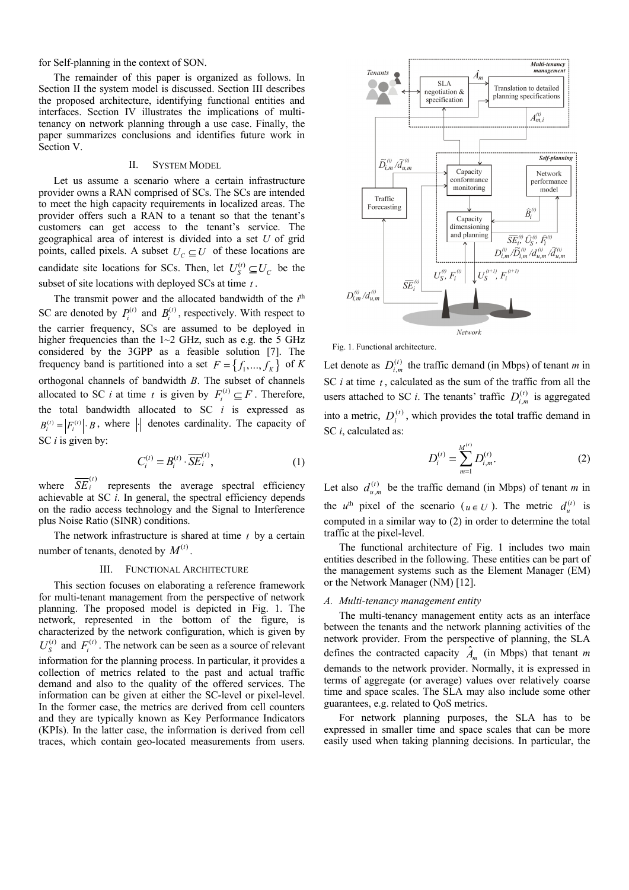for Self-planning in the context of SON.

The remainder of this paper is organized as follows. In Section II the system model is discussed. Section III describes the proposed architecture, identifying functional entities and interfaces. Section IV illustrates the implications of multitenancy on network planning through a use case. Finally, the paper summarizes conclusions and identifies future work in Section V.

#### II. SYSTEM MODEL

Let us assume a scenario where a certain infrastructure provider owns a RAN comprised of SCs. The SCs are intended to meet the high capacity requirements in localized areas. The provider offers such a RAN to a tenant so that the tenant's customers can get access to the tenant's service. The geographical area of interest is divided into a set *U* of grid points, called pixels. A subset  $U_c \subseteq U$  of these locations are candidate site locations for SCs. Then, let  $U_s^{(t)} \subseteq U_c$  be the subset of site locations with deployed SCs at time *t* .

The transmit power and the allocated bandwidth of the  $i<sup>th</sup>$ SC are denoted by  $P_i^{(t)}$  and  $B_i^{(t)}$ , respectively. With respect to the carrier frequency, SCs are assumed to be deployed in higher frequencies than the  $1~2$  GHz, such as e.g. the 5 GHz considered by the 3GPP as a feasible solution [7]. The frequency band is partitioned into a set  $F = \{f_1, ..., f_K\}$  of *K* orthogonal channels of bandwidth *B*. The subset of channels allocated to SC *i* at time *t* is given by  $F_i^{(t)} \subseteq F$ . Therefore, the total bandwidth allocated to SC *i* is expressed as  $B_i^{(t)} = |F_i^{(t)}| \cdot B$ , where  $\left| \cdot \right|$  denotes cardinality. The capacity of SC *i* is given by:

$$
C_i^{(t)} = B_i^{(t)} \cdot \overline{SE}_i^{(t)},\tag{1}
$$

where  $\overline{SE}_i^{(t)}$  represents the average spectral efficiency achievable at SC *i*. In general, the spectral efficiency depends on the radio access technology and the Signal to Interference plus Noise Ratio (SINR) conditions.

 The network infrastructure is shared at time *t* by a certain number of tenants, denoted by  $M^{(t)}$ 

#### III. FUNCTIONAL ARCHITECTURE

This section focuses on elaborating a reference framework for multi-tenant management from the perspective of network planning. The proposed model is depicted in Fig. 1. The network, represented in the bottom of the figure, is characterized by the network configuration, which is given by  $U_s^{(t)}$  and  $F_i^{(t)}$ . The network can be seen as a source of relevant information for the planning process. In particular, it provides a collection of metrics related to the past and actual traffic demand and also to the quality of the offered services. The information can be given at either the SC-level or pixel-level. In the former case, the metrics are derived from cell counters and they are typically known as Key Performance Indicators (KPIs). In the latter case, the information is derived from cell traces, which contain geo-located measurements from users.



Fig. 1. Functional architecture.

Let denote as  $D_{i,m}^{(t)}$  the traffic demand (in Mbps) of tenant *m* in SC *i* at time *t* , calculated as the sum of the traffic from all the users attached to SC *i*. The tenants' traffic  $D_{i,m}^{(t)}$  is aggregated into a metric,  $D_i^{(t)}$ , which provides the total traffic demand in SC *i*, calculated as:

$$
D_i^{(t)} = \sum_{m=1}^{M^{(t)}} D_{i,m}^{(t)}.
$$
 (2)

Let also  $d_{u,m}^{(t)}$  be the traffic demand (in Mbps) of tenant *m* in the *u*<sup>th</sup> pixel of the scenario ( $u \in U$ ). The metric  $d_u^{(t)}$  is computed in a similar way to (2) in order to determine the total traffic at the pixel-level.

The functional architecture of Fig. 1 includes two main entities described in the following. These entities can be part of the management systems such as the Element Manager (EM) or the Network Manager (NM) [12].

#### *A. Multi-tenancy management entity*

The multi-tenancy management entity acts as an interface between the tenants and the network planning activities of the network provider. From the perspective of planning, the SLA defines the contracted capacity  $\hat{A}_m$  (in Mbps) that tenant *m* demands to the network provider. Normally, it is expressed in terms of aggregate (or average) values over relatively coarse time and space scales. The SLA may also include some other guarantees, e.g. related to QoS metrics.

For network planning purposes, the SLA has to be expressed in smaller time and space scales that can be more easily used when taking planning decisions. In particular, the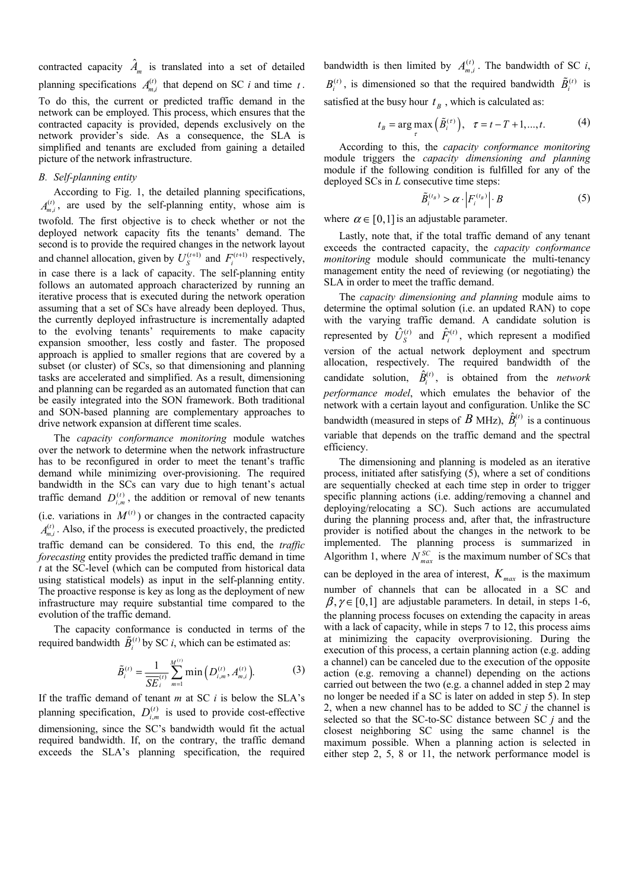contracted capacity  $\hat{A}_m$  is translated into a set of detailed planning specifications  $A_{m,i}^{(t)}$  that depend on SC *i* and time *t*. To do this, the current or predicted traffic demand in the network can be employed. This process, which ensures that the contracted capacity is provided, depends exclusively on the network provider's side. As a consequence, the SLA is simplified and tenants are excluded from gaining a detailed picture of the network infrastructure.

## *B. Self-planning entity*

 According to Fig. 1, the detailed planning specifications,  $A_{m,i}^{(t)}$ , are used by the self-planning entity, whose aim is twofold. The first objective is to check whether or not the deployed network capacity fits the tenants' demand. The second is to provide the required changes in the network layout and channel allocation, given by  $U_S^{(t+1)}$  and  $F_i^{(t+1)}$  respectively, in case there is a lack of capacity. The self-planning entity follows an automated approach characterized by running an iterative process that is executed during the network operation assuming that a set of SCs have already been deployed. Thus, the currently deployed infrastructure is incrementally adapted to the evolving tenants' requirements to make capacity expansion smoother, less costly and faster. The proposed approach is applied to smaller regions that are covered by a subset (or cluster) of SCs, so that dimensioning and planning tasks are accelerated and simplified. As a result, dimensioning and planning can be regarded as an automated function that can be easily integrated into the SON framework. Both traditional and SON-based planning are complementary approaches to drive network expansion at different time scales.

The *capacity conformance monitoring* module watches over the network to determine when the network infrastructure has to be reconfigured in order to meet the tenant's traffic demand while minimizing over-provisioning. The required bandwidth in the SCs can vary due to high tenant's actual traffic demand  $D_{i,m}^{(t)}$ , the addition or removal of new tenants (i.e. variations in  $M^{(t)}$ ) or changes in the contracted capacity  $A_{m,i}^{(t)}$ . Also, if the process is executed proactively, the predicted traffic demand can be considered. To this end, the *traffic forecasting* entity provides the predicted traffic demand in time *t* at the SC-level (which can be computed from historical data using statistical models) as input in the self-planning entity. The proactive response is key as long as the deployment of new infrastructure may require substantial time compared to the evolution of the traffic demand.

 The capacity conformance is conducted in terms of the required bandwidth  $\tilde{B}_i^{(t)}$  by SC *i*, which can be estimated as:

$$
\tilde{B}_i^{(t)} = \frac{1}{\overline{SE}_i^{(t)}} \sum_{m=1}^{M^{(t)}} \min\left(D_{i,m}^{(t)}, A_{m,i}^{(t)}\right).
$$
 (3)

If the traffic demand of tenant *m* at SC *i* is below the SLA's planning specification,  $D_{i,m}^{(t)}$  is used to provide cost-effective dimensioning, since the SC's bandwidth would fit the actual required bandwidth. If, on the contrary, the traffic demand exceeds the SLA's planning specification, the required

bandwidth is then limited by  $A_{m,i}^{(t)}$ . The bandwidth of SC *i*,  $B_i^{(t)}$ , is dimensioned so that the required bandwidth  $\tilde{B}_i^{(t)}$  is satisfied at the busy hour  $t<sub>B</sub>$ , which is calculated as:

$$
t_B = \arg\max_{\tau} \left( \tilde{B}_i^{(\tau)} \right), \quad \tau = t - T + 1, \dots, t. \tag{4}
$$

According to this, the *capacity conformance monitoring* module triggers the *capacity dimensioning and planning* module if the following condition is fulfilled for any of the deployed SCs in *L* consecutive time steps:

$$
\tilde{B}_i^{(t_B)} > \alpha \cdot \left| F_i^{(t_B)} \right| \cdot B \tag{5}
$$

where  $\alpha \in [0,1]$  is an adjustable parameter.

 Lastly, note that, if the total traffic demand of any tenant exceeds the contracted capacity, the *capacity conformance monitoring* module should communicate the multi-tenancy management entity the need of reviewing (or negotiating) the SLA in order to meet the traffic demand.

 The *capacity dimensioning and planning* module aims to determine the optimal solution (i.e. an updated RAN) to cope with the varying traffic demand. A candidate solution is represented by  $\hat{U}_{S}^{(t)}$  and  $\hat{F}_{i}^{(t)}$ , which represent a modified version of the actual network deployment and spectrum allocation, respectively. The required bandwidth of the candidate solution,  $\hat{B}_{i}^{(t)}$ , is obtained from the *network performance model*, which emulates the behavior of the network with a certain layout and configuration. Unlike the SC bandwidth (measured in steps of *B* MHz),  $\hat{B}_{i}^{(t)}$  is a continuous variable that depends on the traffic demand and the spectral efficiency.

 The dimensioning and planning is modeled as an iterative process, initiated after satisfying (5), where a set of conditions are sequentially checked at each time step in order to trigger specific planning actions (i.e. adding/removing a channel and deploying/relocating a SC). Such actions are accumulated during the planning process and, after that, the infrastructure provider is notified about the changes in the network to be implemented. The planning process is summarized in Algorithm 1, where  $N_{max}^{SC}$  is the maximum number of SCs that can be deployed in the area of interest,  $K_{max}$  is the maximum number of channels that can be allocated in a SC and  $\beta, \gamma \in [0,1]$  are adjustable parameters. In detail, in steps 1-6, the planning process focuses on extending the capacity in areas with a lack of capacity, while in steps 7 to 12, this process aims at minimizing the capacity overprovisioning. During the execution of this process, a certain planning action (e.g. adding a channel) can be canceled due to the execution of the opposite action (e.g. removing a channel) depending on the actions carried out between the two (e.g. a channel added in step 2 may no longer be needed if a SC is later on added in step 5). In step 2, when a new channel has to be added to SC *j* the channel is selected so that the SC-to-SC distance between SC *j* and the closest neighboring SC using the same channel is the maximum possible. When a planning action is selected in either step 2, 5, 8 or 11, the network performance model is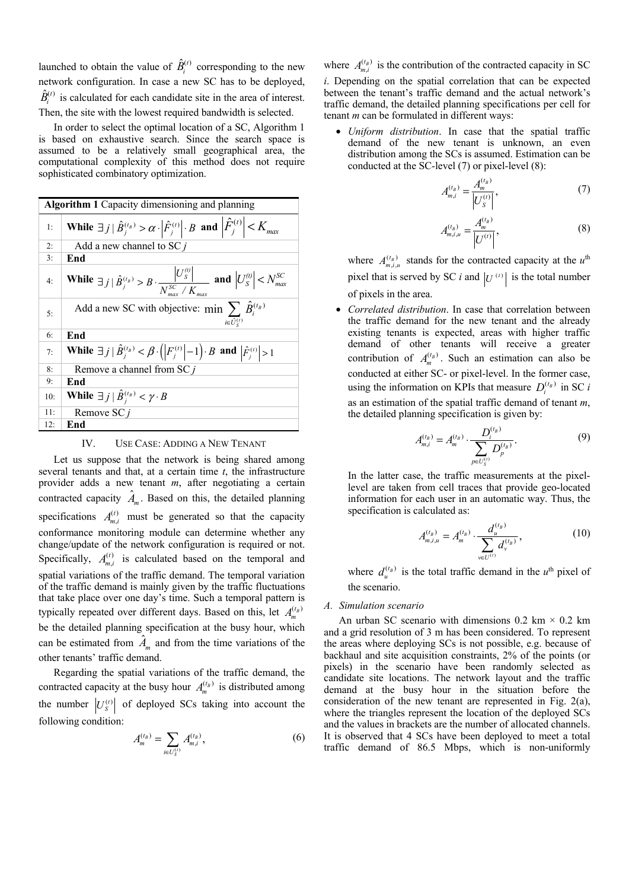launched to obtain the value of  $\hat{B}_{i}^{(t)}$  corresponding to the new network configuration. In case a new SC has to be deployed,  $\hat{B}_{i}^{(t)}$  is calculated for each candidate site in the area of interest. Then, the site with the lowest required bandwidth is selected.

 In order to select the optimal location of a SC, Algorithm 1 is based on exhaustive search. Since the search space is assumed to be a relatively small geographical area, the computational complexity of this method does not require sophisticated combinatory optimization.

| Algorithm 1 Capacity dimensioning and planning |                                                                                                                                                       |  |  |  |  |
|------------------------------------------------|-------------------------------------------------------------------------------------------------------------------------------------------------------|--|--|--|--|
| 1:                                             | While $\exists j \mid \hat{B}_{j}^{(t_{B})} > \alpha \cdot \left  \hat{F}_{j}^{(t)} \right  \cdot B$ and $\left  \hat{F}_{j}^{(t)} \right  < K_{max}$ |  |  |  |  |
| 2:                                             | Add a new channel to SC $j$                                                                                                                           |  |  |  |  |
| 3:                                             | End                                                                                                                                                   |  |  |  |  |
| 4:                                             | While $\exists j \mid \hat{B}_{j}^{(t_{B})} > B \cdot \frac{\left U_{S}^{(t)}\right }{N^{SC} \cdot K}$ and $\left U_{S}^{(t)}\right  < N_{max}^{SC}$  |  |  |  |  |
| 5:                                             | Add a new SC with objective: min $\sum \hat{B}_i^{(t)}$<br>$i \in \widehat{U}_{c}^{(t)}$                                                              |  |  |  |  |
| 6:                                             | End                                                                                                                                                   |  |  |  |  |
| 7:                                             | While $\exists j \,   \, \hat{B}_i^{(t_B)} < \beta \cdot ( F_i^{(t)}  - 1) \cdot B$ and $ \hat{F}_i^{(t)}  > 1$                                       |  |  |  |  |
| 8:                                             | Remove a channel from SC j                                                                                                                            |  |  |  |  |
| 9:                                             | End                                                                                                                                                   |  |  |  |  |
| 10:                                            | While $\exists j   \hat{B}^{(t_B)}_i < \gamma \cdot B$                                                                                                |  |  |  |  |
| 11:                                            | Remove SC j                                                                                                                                           |  |  |  |  |
| 12:                                            | End                                                                                                                                                   |  |  |  |  |

IV. USE CASE: ADDING A NEW TENANT

 Let us suppose that the network is being shared among several tenants and that, at a certain time *t*, the infrastructure provider adds a new tenant *m*, after negotiating a certain contracted capacity  $\hat{A}_m$ . Based on this, the detailed planning specifications  $A_{m,i}^{(t)}$  must be generated so that the capacity conformance monitoring module can determine whether any change/update of the network configuration is required or not. Specifically,  $A_{m,i}^{(t)}$  is calculated based on the temporal and spatial variations of the traffic demand. The temporal variation of the traffic demand is mainly given by the traffic fluctuations that take place over one day's time. Such a temporal pattern is typically repeated over different days. Based on this, let  $A_m^{(t)}$ be the detailed planning specification at the busy hour, which can be estimated from  $\hat{A}_m$  and from the time variations of the other tenants' traffic demand.

 Regarding the spatial variations of the traffic demand, the contracted capacity at the busy hour  $A_m^{(t)}$  is distributed among the number  $|U_s^{(t)}|$  of deployed SCs taking into account the following condition:

$$
A_m^{(t_B)} = \sum_{i \in U_S^{(t)}} A_{m,i}^{(t_B)},\tag{6}
$$

where  $A_{m,i}^{(t)}$  is the contribution of the contracted capacity in SC

*i*. Depending on the spatial correlation that can be expected between the tenant's traffic demand and the actual network's traffic demand, the detailed planning specifications per cell for tenant *m* can be formulated in different ways:

• *Uniform distribution*. In case that the spatial traffic demand of the new tenant is unknown, an even distribution among the SCs is assumed. Estimation can be conducted at the SC-level (7) or pixel-level (8):

$$
A_{m,i}^{(t_B)} = \frac{A_m^{(t_B)}}{|U_S^{(t)}|},\tag{7}
$$

$$
A_{m,i,u}^{(t_B)} = \frac{A_m^{(t_B)}}{|U^{(t)}|},
$$
\n(8)

where  $A_{m,i,u}^{(t_B)}$  stands for the contracted capacity at the  $u^{\text{th}}$ pixel that is served by SC *i* and  $|U^{(t)}|$  is the total number of pixels in the area.

• *Correlated distribution*. In case that correlation between the traffic demand for the new tenant and the already existing tenants is expected, areas with higher traffic demand of other tenants will receive a greater contribution of  $A_m^{(t_B)}$ . Such an estimation can also be conducted at either SC- or pixel-level. In the former case, using the information on KPIs that measure  $D_i^{(t_B)}$  in SC *i* as an estimation of the spatial traffic demand of tenant *m*, the detailed planning specification is given by:

$$
A_{m,i}^{(t_B)} = A_m^{(t_B)} \cdot \frac{D_i^{(t_B)}}{\sum_{p \in U_S^{(t)}} D_p^{(t_B)}}.
$$
\n(9)

In the latter case, the traffic measurements at the pixellevel are taken from cell traces that provide geo-located information for each user in an automatic way. Thus, the specification is calculated as:

$$
A_{m,i,u}^{(t_B)} = A_m^{(t_B)} \cdot \frac{d_u^{(t_B)}}{\sum_{v \in U^{(t)}} d_v^{(t_B)}},\tag{10}
$$

where  $d_u^{(t_B)}$  is the total traffic demand in the  $u^{\text{th}}$  pixel of the scenario.

### *A. Simulation scenario*

An urban SC scenario with dimensions  $0.2 \text{ km} \times 0.2 \text{ km}$ and a grid resolution of 3 m has been considered. To represent the areas where deploying SCs is not possible, e.g. because of backhaul and site acquisition constraints, 2% of the points (or pixels) in the scenario have been randomly selected as candidate site locations. The network layout and the traffic demand at the busy hour in the situation before the consideration of the new tenant are represented in Fig. 2(a), where the triangles represent the location of the deployed SCs and the values in brackets are the number of allocated channels. It is observed that 4 SCs have been deployed to meet a total traffic demand of 86.5 Mbps, which is non-uniformly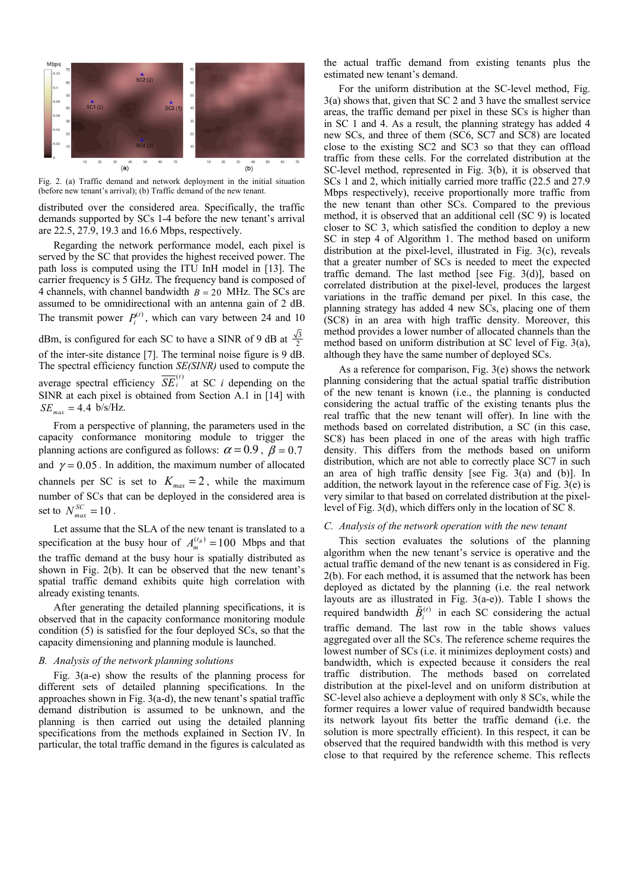

Fig. 2. (a) Traffic demand and network deployment in the initial situation (before new tenant's arrival); (b) Traffic demand of the new tenant.

distributed over the considered area. Specifically, the traffic demands supported by SCs 1-4 before the new tenant's arrival are 22.5, 27.9, 19.3 and 16.6 Mbps, respectively.

Regarding the network performance model, each pixel is served by the SC that provides the highest received power. The path loss is computed using the ITU InH model in [13]. The carrier frequency is 5 GHz. The frequency band is composed of 4 channels, with channel bandwidth  $B = 20$  MHz. The SCs are assumed to be omnidirectional with an antenna gain of 2 dB. The transmit power  $P_i^{(t)}$ , which can vary between 24 and 10 dBm, is configured for each SC to have a SINR of 9 dB at  $\frac{\sqrt{3}}{2}$ of the inter-site distance [7]. The terminal noise figure is 9 dB. The spectral efficiency function *SE(SINR)* used to compute the average spectral efficiency  $\overline{SE}_i^{(t)}$  at SC *i* depending on the SINR at each pixel is obtained from Section A.1 in [14] with  $SE_{max} = 4.4 \text{ b/s/Hz}.$ 

From a perspective of planning, the parameters used in the capacity conformance monitoring module to trigger the planning actions are configured as follows:  $\alpha = 0.9$ ,  $\beta = 0.7$ and  $\gamma = 0.05$ . In addition, the maximum number of allocated channels per SC is set to  $K_{\text{max}} = 2$ , while the maximum number of SCs that can be deployed in the considered area is set to  $N_{max}^{SC} = 10$ .

Let assume that the SLA of the new tenant is translated to a specification at the busy hour of  $A_m^{(t_B)} = 100$  Mbps and that the traffic demand at the busy hour is spatially distributed as shown in Fig. 2(b). It can be observed that the new tenant's spatial traffic demand exhibits quite high correlation with already existing tenants.

After generating the detailed planning specifications, it is observed that in the capacity conformance monitoring module condition (5) is satisfied for the four deployed SCs, so that the capacity dimensioning and planning module is launched.

#### *B. Analysis of the network planning solutions*

Fig. 3(a-e) show the results of the planning process for different sets of detailed planning specifications. In the approaches shown in Fig. 3(a-d), the new tenant's spatial traffic demand distribution is assumed to be unknown, and the planning is then carried out using the detailed planning specifications from the methods explained in Section IV. In particular, the total traffic demand in the figures is calculated as

the actual traffic demand from existing tenants plus the estimated new tenant's demand.

For the uniform distribution at the SC-level method, Fig. 3(a) shows that, given that SC 2 and 3 have the smallest service areas, the traffic demand per pixel in these SCs is higher than in SC 1 and 4. As a result, the planning strategy has added 4 new SCs, and three of them (SC6, SC7 and SC8) are located close to the existing SC2 and SC3 so that they can offload traffic from these cells. For the correlated distribution at the SC-level method, represented in Fig. 3(b), it is observed that SCs 1 and 2, which initially carried more traffic (22.5 and 27.9 Mbps respectively), receive proportionally more traffic from the new tenant than other SCs. Compared to the previous method, it is observed that an additional cell (SC 9) is located closer to SC 3, which satisfied the condition to deploy a new SC in step 4 of Algorithm 1. The method based on uniform distribution at the pixel-level, illustrated in Fig. 3(c), reveals that a greater number of SCs is needed to meet the expected traffic demand. The last method [see Fig. 3(d)], based on correlated distribution at the pixel-level, produces the largest variations in the traffic demand per pixel. In this case, the planning strategy has added 4 new SCs, placing one of them (SC8) in an area with high traffic density. Moreover, this method provides a lower number of allocated channels than the method based on uniform distribution at SC level of Fig. 3(a), although they have the same number of deployed SCs.

As a reference for comparison, Fig. 3(e) shows the network planning considering that the actual spatial traffic distribution of the new tenant is known (i.e., the planning is conducted considering the actual traffic of the existing tenants plus the real traffic that the new tenant will offer). In line with the methods based on correlated distribution, a SC (in this case, SC8) has been placed in one of the areas with high traffic density. This differs from the methods based on uniform distribution, which are not able to correctly place SC7 in such an area of high traffic density [see Fig. 3(a) and (b)]. In addition, the network layout in the reference case of Fig. 3(e) is very similar to that based on correlated distribution at the pixellevel of Fig. 3(d), which differs only in the location of SC 8.

#### *C. Analysis of the network operation with the new tenant*

This section evaluates the solutions of the planning algorithm when the new tenant's service is operative and the actual traffic demand of the new tenant is as considered in Fig. 2(b). For each method, it is assumed that the network has been deployed as dictated by the planning (i.e. the real network layouts are as illustrated in Fig. 3(a-e)). Table I shows the required bandwidth  $\tilde{B}_i^{(t)}$  in each SC considering the actual traffic demand. The last row in the table shows values aggregated over all the SCs. The reference scheme requires the lowest number of SCs (i.e. it minimizes deployment costs) and bandwidth, which is expected because it considers the real traffic distribution. The methods based on correlated distribution at the pixel-level and on uniform distribution at SC-level also achieve a deployment with only 8 SCs, while the former requires a lower value of required bandwidth because its network layout fits better the traffic demand (i.e. the solution is more spectrally efficient). In this respect, it can be observed that the required bandwidth with this method is very close to that required by the reference scheme. This reflects